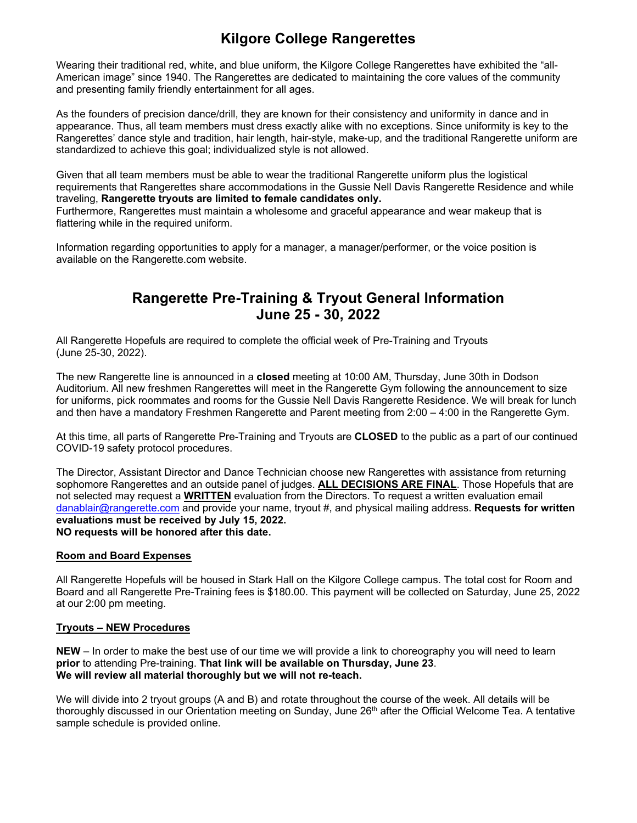# **Kilgore College Rangerettes**

Wearing their traditional red, white, and blue uniform, the Kilgore College Rangerettes have exhibited the "all-American image" since 1940. The Rangerettes are dedicated to maintaining the core values of the community and presenting family friendly entertainment for all ages.

As the founders of precision dance/drill, they are known for their consistency and uniformity in dance and in appearance. Thus, all team members must dress exactly alike with no exceptions. Since uniformity is key to the Rangerettes' dance style and tradition, hair length, hair-style, make-up, and the traditional Rangerette uniform are standardized to achieve this goal; individualized style is not allowed.

Given that all team members must be able to wear the traditional Rangerette uniform plus the logistical requirements that Rangerettes share accommodations in the Gussie Nell Davis Rangerette Residence and while traveling, **Rangerette tryouts are limited to female candidates only.** 

Furthermore, Rangerettes must maintain a wholesome and graceful appearance and wear makeup that is flattering while in the required uniform.

Information regarding opportunities to apply for a manager, a manager/performer, or the voice position is available on the Rangerette.com website.

## **Rangerette Pre-Training & Tryout General Information June 25 - 30, 2022**

All Rangerette Hopefuls are required to complete the official week of Pre-Training and Tryouts (June 25-30, 2022).

The new Rangerette line is announced in a **closed** meeting at 10:00 AM, Thursday, June 30th in Dodson Auditorium. All new freshmen Rangerettes will meet in the Rangerette Gym following the announcement to size for uniforms, pick roommates and rooms for the Gussie Nell Davis Rangerette Residence. We will break for lunch and then have a mandatory Freshmen Rangerette and Parent meeting from 2:00 – 4:00 in the Rangerette Gym.

At this time, all parts of Rangerette Pre-Training and Tryouts are **CLOSED** to the public as a part of our continued COVID-19 safety protocol procedures.

The Director, Assistant Director and Dance Technician choose new Rangerettes with assistance from returning sophomore Rangerettes and an outside panel of judges. **ALL DECISIONS ARE FINAL**. Those Hopefuls that are not selected may request a **WRITTEN** evaluation from the Directors. To request a written evaluation email danablair@rangerette.com and provide your name, tryout #, and physical mailing address. **Requests for written evaluations must be received by July 15, 2022. NO requests will be honored after this date.**

## **Room and Board Expenses**

All Rangerette Hopefuls will be housed in Stark Hall on the Kilgore College campus. The total cost for Room and Board and all Rangerette Pre-Training fees is \$180.00. This payment will be collected on Saturday, June 25, 2022 at our 2:00 pm meeting.

## **Tryouts – NEW Procedures**

**NEW** – In order to make the best use of our time we will provide a link to choreography you will need to learn **prior** to attending Pre-training. **That link will be available on Thursday, June 23**. **We will review all material thoroughly but we will not re-teach.** 

We will divide into 2 tryout groups (A and B) and rotate throughout the course of the week. All details will be thoroughly discussed in our Orientation meeting on Sunday, June 26<sup>th</sup> after the Official Welcome Tea. A tentative sample schedule is provided online.